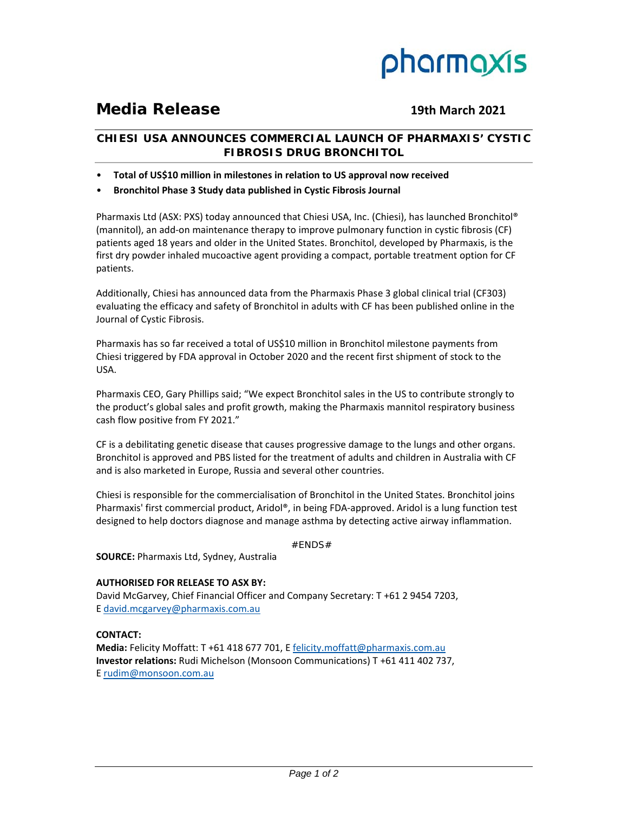

# **Media Release 19th March 2021**

# **CHIESI USA ANNOUNCES COMMERCIAL LAUNCH OF PHARMAXIS' CYSTIC FIBROSIS DRUG BRONCHITOL**

- **Total of US\$10 million in milestones in relation to US approval now received**
- **Bronchitol Phase 3 Study data published in Cystic Fibrosis Journal**

Pharmaxis Ltd (ASX: PXS) today announced that Chiesi USA, Inc. (Chiesi), has launched Bronchitol® (mannitol), an add‐on maintenance therapy to improve pulmonary function in cystic fibrosis (CF) patients aged 18 years and older in the United States. Bronchitol, developed by Pharmaxis, is the first dry powder inhaled mucoactive agent providing a compact, portable treatment option for CF patients.

Additionally, Chiesi has announced data from the Pharmaxis Phase 3 global clinical trial (CF303) evaluating the efficacy and safety of Bronchitol in adults with CF has been published online in the Journal of Cystic Fibrosis.

Pharmaxis has so far received a total of US\$10 million in Bronchitol milestone payments from Chiesi triggered by FDA approval in October 2020 and the recent first shipment of stock to the USA.

Pharmaxis CEO, Gary Phillips said; "We expect Bronchitol sales in the US to contribute strongly to the product's global sales and profit growth, making the Pharmaxis mannitol respiratory business cash flow positive from FY 2021."

CF is a debilitating genetic disease that causes progressive damage to the lungs and other organs. Bronchitol is approved and PBS listed for the treatment of adults and children in Australia with CF and is also marketed in Europe, Russia and several other countries.

Chiesi is responsible for the commercialisation of Bronchitol in the United States. Bronchitol joins Pharmaxis' first commercial product, Aridol®, in being FDA‐approved. Aridol is a lung function test designed to help doctors diagnose and manage asthma by detecting active airway inflammation.

#ENDS#

**SOURCE:** Pharmaxis Ltd, Sydney, Australia

## **AUTHORISED FOR RELEASE TO ASX BY:**

David McGarvey, Chief Financial Officer and Company Secretary: T +61 2 9454 7203, E david.mcgarvey@pharmaxis.com.au

### **CONTACT:**

**Media:** Felicity Moffatt: T +61 418 677 701, E felicity.moffatt@pharmaxis.com.au **Investor relations:** Rudi Michelson (Monsoon Communications) T +61 411 402 737, E rudim@monsoon.com.au